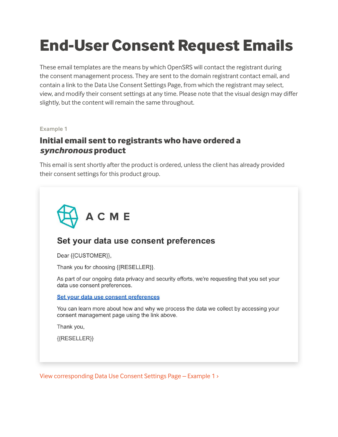# **End-User Consent Request Emails**

These email templates are the means by which OpenSRS will contact the registrant during the consent management process. They are sent to the domain registrant contact email, and contain a link to the Data Use Consent Settings Page, from which the registrant may select, view, and modify their consent settings at any time. Please note that the visual design may differ slightly, but the content will remain the same throughout.

#### **Example 1**

## **Initial email sent to registrants who have ordered a**  *synchronous* **product**

This email is sent shortly after the product is ordered, unless the client has already provided their consent settings for this product group.



# Set your data use consent preferences

Dear {{CUSTOMER}},

Thank you for choosing {{RESELLER}}.

As part of our ongoing data privacy and security efforts, we're requesting that you set your data use consent preferences.

#### Set your data use consent preferences

You can learn more about how and why we process the data we collect by accessing your consent management page using the link above.

Thank you,

 ${RSELLER}$ 

[View corresponding Data Use Consent Settings Page – Example 1 ›](https://opensrs.com/data-use-consent-settings-pages-opensrs/)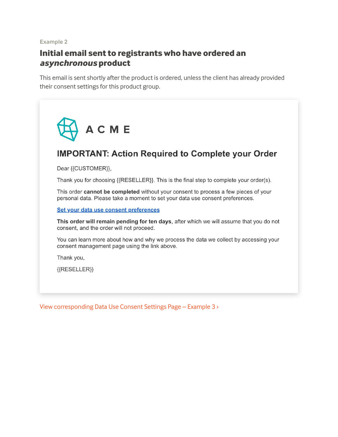## **Initial email sent to registrants who have ordered an**  *asynchronous* **product**

This email is sent shortly after the product is ordered, unless the client has already provided their consent settings for this product group.



# **IMPORTANT: Action Required to Complete your Order**

Dear {{CUSTOMER}},

Thank you for choosing {{RESELLER}}. This is the final step to complete your order(s).

This order cannot be completed without your consent to process a few pieces of your personal data. Please take a moment to set your data use consent preferences.

Set your data use consent preferences

This order will remain pending for ten days, after which we will assume that you do not consent, and the order will not proceed.

You can learn more about how and why we process the data we collect by accessing your consent management page using the link above.

Thank you,

 ${RSELLER}$ 

[View corresponding Data Use Consent Settings Page – Example 3 ›](https://opensrs.com/data-use-consent-settings-pages-opensrs/)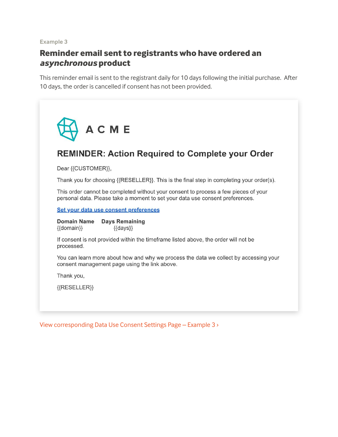## **Reminder email sent to registrants who have ordered an**  *asynchronous* **product**

This reminder email is sent to the registrant daily for 10 days following the initial purchase. After 10 days, the order is cancelled if consent has not been provided.



# **REMINDER: Action Required to Complete your Order**

Dear {{CUSTOMER}},

Thank you for choosing {{RESELLER}}. This is the final step in completing your order(s).

This order cannot be completed without your consent to process a few pieces of your personal data. Please take a moment to set your data use consent preferences.

Set your data use consent preferences

Domain Name Days Remaining {{domain}}  $\{\{\text{days}\}\}\$ 

If consent is not provided within the timeframe listed above, the order will not be processed.

You can learn more about how and why we process the data we collect by accessing your consent management page using the link above.

Thank you,

 ${RSELLER}$ 

[View corresponding Data Use Consent Settings Page – Example 3 ›](https://opensrs.com/data-use-consent-settings-pages-opensrs/)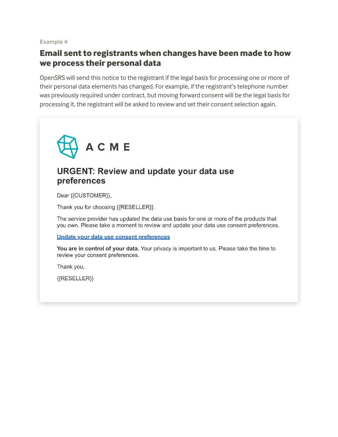## **Email sent to registrants when changes have been made to how we process their personal data**

OpenSRS will send this notice to the registrant if the legal basis for processing one or more of their personal data elements has changed. For example, if the registrant's telephone number was previously required under contract, but moving forward consent will be the legal basis for processing it, the registrant will be asked to review and set their consent selection again.



## **URGENT: Review and update your data use** preferences

Dear {{CUSTOMER}},

Thank you for choosing {{RESELLER}}.

The service provider has updated the data use basis for one or more of the products that you own. Please take a moment to review and update your data use consent preferences.

Update your data use consent preferences

You are in control of your data. Your privacy is important to us. Please take the time to review your consent preferences.

Thank you,

 ${RSELLER}$